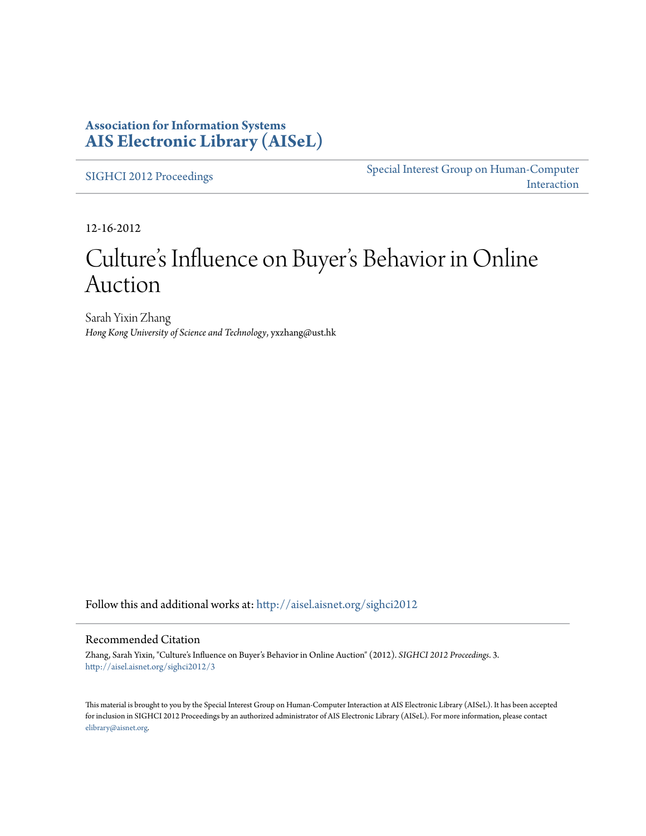### **Association for Information Systems [AIS Electronic Library \(AISeL\)](http://aisel.aisnet.org?utm_source=aisel.aisnet.org%2Fsighci2012%2F3&utm_medium=PDF&utm_campaign=PDFCoverPages)**

[SIGHCI 2012 Proceedings](http://aisel.aisnet.org/sighci2012?utm_source=aisel.aisnet.org%2Fsighci2012%2F3&utm_medium=PDF&utm_campaign=PDFCoverPages)

[Special Interest Group on Human-Computer](http://aisel.aisnet.org/sighci?utm_source=aisel.aisnet.org%2Fsighci2012%2F3&utm_medium=PDF&utm_campaign=PDFCoverPages) [Interaction](http://aisel.aisnet.org/sighci?utm_source=aisel.aisnet.org%2Fsighci2012%2F3&utm_medium=PDF&utm_campaign=PDFCoverPages)

12-16-2012

# Culture 's Influence on Buyer 's Behavior in Online Auction

Sarah Yixin Zhang *Hong Kong University of Science and Technology*, yxzhang@ust.hk

Follow this and additional works at: [http://aisel.aisnet.org/sighci2012](http://aisel.aisnet.org/sighci2012?utm_source=aisel.aisnet.org%2Fsighci2012%2F3&utm_medium=PDF&utm_campaign=PDFCoverPages)

### Recommended Citation

Zhang, Sarah Yixin, "Culture's Influence on Buyer's Behavior in Online Auction" (2012). *SIGHCI 2012 Proceedings*. 3. [http://aisel.aisnet.org/sighci2012/3](http://aisel.aisnet.org/sighci2012/3?utm_source=aisel.aisnet.org%2Fsighci2012%2F3&utm_medium=PDF&utm_campaign=PDFCoverPages)

This material is brought to you by the Special Interest Group on Human-Computer Interaction at AIS Electronic Library (AISeL). It has been accepted for inclusion in SIGHCI 2012 Proceedings by an authorized administrator of AIS Electronic Library (AISeL). For more information, please contact [elibrary@aisnet.org.](mailto:elibrary@aisnet.org%3E)